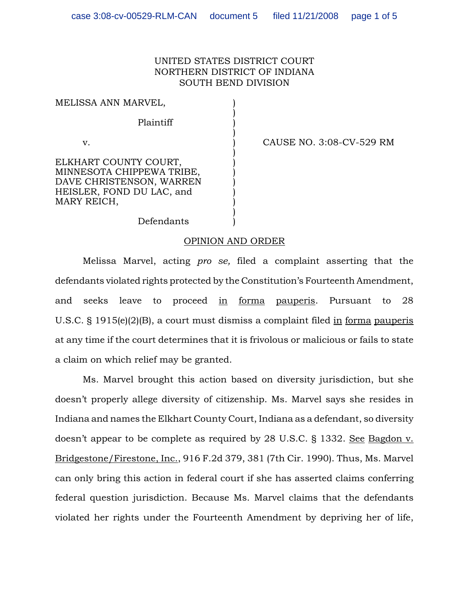## UNITED STATES DISTRICT COURT NORTHERN DISTRICT OF INDIANA SOUTH BEND DIVISION

)

)

)

MELISSA ANN MARVEL,

Plaintiff )

ELKHART COUNTY COURT. MINNESOTA CHIPPEWA TRIBE, ) DAVE CHRISTENSON, WARREN HEISLER, FOND DU LAC, and ) MARY REICH,

v. ) CAUSE NO. 3:08-CV-529 RM

Defendants )

## OPINION AND ORDER

)

Melissa Marvel, acting *pro se,* filed a complaint asserting that the defendants violated rights protected by the Constitution's Fourteenth Amendment, and seeks leave to proceed in forma pauperis. Pursuant to 28 U.S.C. § 1915(e)(2)(B), a court must dismiss a complaint filed in forma pauperis at any time if the court determines that it is frivolous or malicious or fails to state a claim on which relief may be granted.

Ms. Marvel brought this action based on diversity jurisdiction, but she doesn't properly allege diversity of citizenship. Ms. Marvel says she resides in Indiana and names the Elkhart County Court, Indiana as a defendant, so diversity doesn't appear to be complete as required by 28 U.S.C. § 1332. See Bagdon v. Bridgestone/Firestone, Inc., 916 F.2d 379, 381 (7th Cir. 1990). Thus, Ms. Marvel can only bring this action in federal court if she has asserted claims conferring federal question jurisdiction. Because Ms. Marvel claims that the defendants violated her rights under the Fourteenth Amendment by depriving her of life,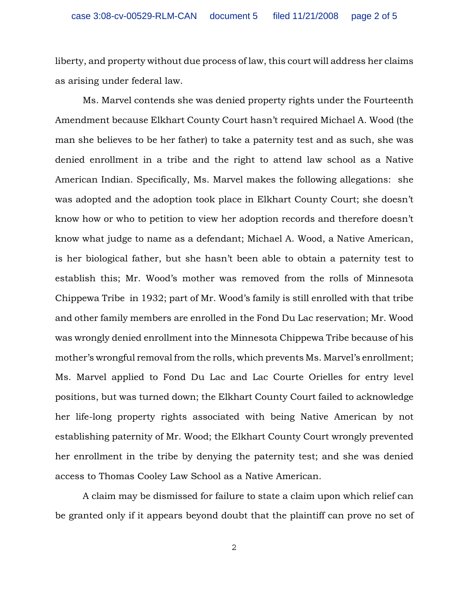liberty, and property without due process of law, this court will address her claims as arising under federal law.

Ms. Marvel contends she was denied property rights under the Fourteenth Amendment because Elkhart County Court hasn't required Michael A. Wood (the man she believes to be her father) to take a paternity test and as such, she was denied enrollment in a tribe and the right to attend law school as a Native American Indian. Specifically, Ms. Marvel makes the following allegations: she was adopted and the adoption took place in Elkhart County Court; she doesn't know how or who to petition to view her adoption records and therefore doesn't know what judge to name as a defendant; Michael A. Wood, a Native American, is her biological father, but she hasn't been able to obtain a paternity test to establish this; Mr. Wood's mother was removed from the rolls of Minnesota Chippewa Tribe in 1932; part of Mr. Wood's family is still enrolled with that tribe and other family members are enrolled in the Fond Du Lac reservation; Mr. Wood was wrongly denied enrollment into the Minnesota Chippewa Tribe because of his mother's wrongful removal from the rolls, which prevents Ms. Marvel's enrollment; Ms. Marvel applied to Fond Du Lac and Lac Courte Orielles for entry level positions, but was turned down; the Elkhart County Court failed to acknowledge her life-long property rights associated with being Native American by not establishing paternity of Mr. Wood; the Elkhart County Court wrongly prevented her enrollment in the tribe by denying the paternity test; and she was denied access to Thomas Cooley Law School as a Native American.

A claim may be dismissed for failure to state a claim upon which relief can be granted only if it appears beyond doubt that the plaintiff can prove no set of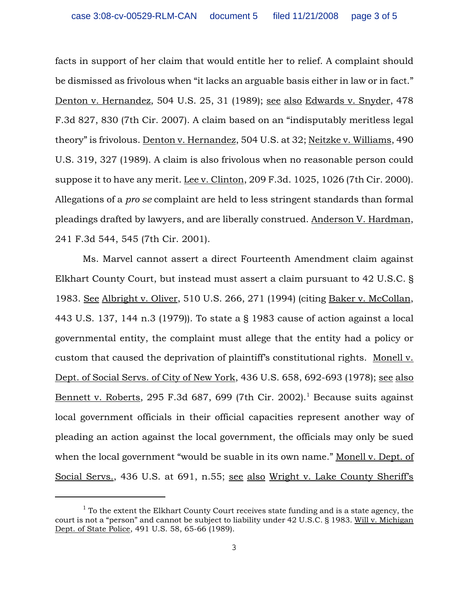facts in support of her claim that would entitle her to relief. A complaint should be dismissed as frivolous when "it lacks an arguable basis either in law or in fact." Denton v. Hernandez, 504 U.S. 25, 31 (1989); see also Edwards v. Snyder, 478 F.3d 827, 830 (7th Cir. 2007). A claim based on an "indisputably meritless legal theory" is frivolous. Denton v. Hernandez, 504 U.S. at 32; Neitzke v. Williams, 490 U.S. 319, 327 (1989). A claim is also frivolous when no reasonable person could suppose it to have any merit. Lee v. Clinton, 209 F.3d. 1025, 1026 (7th Cir. 2000). Allegations of a *pro se* complaint are held to less stringent standards than formal pleadings drafted by lawyers, and are liberally construed. Anderson V. Hardman, 241 F.3d 544, 545 (7th Cir. 2001).

Ms. Marvel cannot assert a direct Fourteenth Amendment claim against Elkhart County Court, but instead must assert a claim pursuant to 42 U.S.C. § 1983. See Albright v. Oliver, 510 U.S. 266, 271 (1994) (citing Baker v. McCollan, 443 U.S. 137, 144 n.3 (1979)). To state a § 1983 cause of action against a local governmental entity, the complaint must allege that the entity had a policy or custom that caused the deprivation of plaintiff's constitutional rights. Monell v. Dept. of Social Servs. of City of New York, 436 U.S. 658, 692-693 (1978); see also <u>Bennett v. Roberts</u>, 295 F.3d 687, 699 (7th Cir. 2002).<sup>1</sup> Because suits against local government officials in their official capacities represent another way of pleading an action against the local government, the officials may only be sued when the local government "would be suable in its own name." Monell v. Dept. of Social Servs., 436 U.S. at 691, n.55; see also Wright v. Lake County Sheriff's

 $<sup>1</sup>$  To the extent the Elkhart County Court receives state funding and is a state agency, the</sup> court is not a "person" and cannot be subject to liability under 42 U.S.C. § 1983. Will v. Michigan Dept. of State Police, 491 U.S. 58, 65-66 (1989).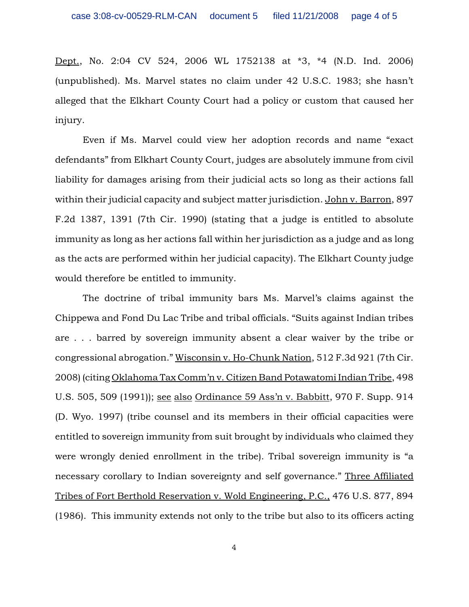Dept., No. 2:04 CV 524, 2006 WL 1752138 at \*3, \*4 (N.D. Ind. 2006) (unpublished). Ms. Marvel states no claim under 42 U.S.C. 1983; she hasn't alleged that the Elkhart County Court had a policy or custom that caused her injury.

Even if Ms. Marvel could view her adoption records and name "exact defendants" from Elkhart County Court, judges are absolutely immune from civil liability for damages arising from their judicial acts so long as their actions fall within their judicial capacity and subject matter jurisdiction. John v. Barron, 897 F.2d 1387, 1391 (7th Cir. 1990) (stating that a judge is entitled to absolute immunity as long as her actions fall within her jurisdiction as a judge and as long as the acts are performed within her judicial capacity). The Elkhart County judge would therefore be entitled to immunity.

The doctrine of tribal immunity bars Ms. Marvel's claims against the Chippewa and Fond Du Lac Tribe and tribal officials. "Suits against Indian tribes are . . . barred by sovereign immunity absent a clear waiver by the tribe or congressional abrogation." Wisconsin v. Ho-Chunk Nation, 512 F.3d 921 (7th Cir. 2008) (citing Oklahoma Tax Comm'n v. Citizen Band Potawatomi Indian Tribe, 498 U.S. 505, 509 (1991)); see also Ordinance 59 Ass'n v. Babbitt, 970 F. Supp. 914 (D. Wyo. 1997) (tribe counsel and its members in their official capacities were entitled to sovereign immunity from suit brought by individuals who claimed they were wrongly denied enrollment in the tribe). Tribal sovereign immunity is "a necessary corollary to Indian sovereignty and self governance." Three Affiliated Tribes of Fort Berthold Reservation v. Wold Engineering, P.C., 476 U.S. 877, 894 (1986). This immunity extends not only to the tribe but also to its officers acting